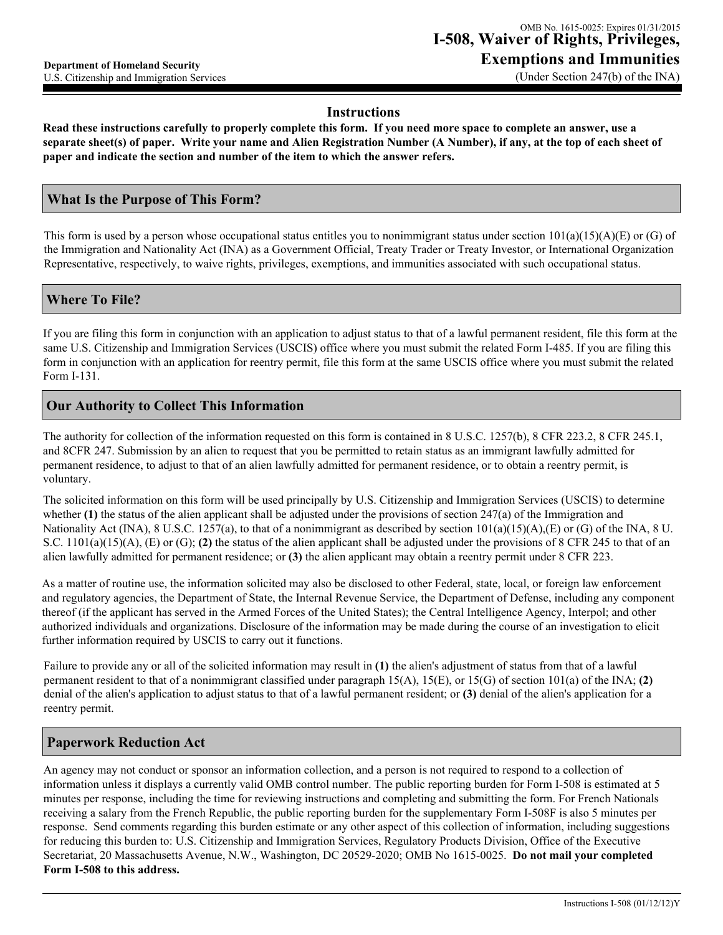# **Instructions**

**Read these instructions carefully to properly complete this form. If you need more space to complete an answer, use a separate sheet(s) of paper. Write your name and Alien Registration Number (A Number), if any, at the top of each sheet of paper and indicate the section and number of the item to which the answer refers.** 

### **What Is the Purpose of This Form?**

This form is used by a person whose occupational status entitles you to nonimmigrant status under section  $101(a)(15)(A)(E)$  or (G) of the Immigration and Nationality Act (INA) as a Government Official, Treaty Trader or Treaty Investor, or International Organization Representative, respectively, to waive rights, privileges, exemptions, and immunities associated with such occupational status.

#### **Where To File?**

If you are filing this form in conjunction with an application to adjust status to that of a lawful permanent resident, file this form at the same U.S. Citizenship and Immigration Services (USCIS) office where you must submit the related Form I-485. If you are filing this form in conjunction with an application for reentry permit, file this form at the same USCIS office where you must submit the related Form I-131.

### **Our Authority to Collect This Information**

The authority for collection of the information requested on this form is contained in 8 U.S.C. 1257(b), 8 CFR 223.2, 8 CFR 245.1, and 8CFR 247. Submission by an alien to request that you be permitted to retain status as an immigrant lawfully admitted for permanent residence, to adjust to that of an alien lawfully admitted for permanent residence, or to obtain a reentry permit, is voluntary.

The solicited information on this form will be used principally by U.S. Citizenship and Immigration Services (USCIS) to determine whether **(1)** the status of the alien applicant shall be adjusted under the provisions of section 247(a) of the Immigration and Nationality Act (INA), 8 U.S.C. 1257(a), to that of a nonimmigrant as described by section  $101(a)(15)(A)$ , (E) or (G) of the INA, 8 U. S.C. 1101(a)(15)(A), (E) or (G); **(2)** the status of the alien applicant shall be adjusted under the provisions of 8 CFR 245 to that of an alien lawfully admitted for permanent residence; or **(3)** the alien applicant may obtain a reentry permit under 8 CFR 223.

As a matter of routine use, the information solicited may also be disclosed to other Federal, state, local, or foreign law enforcement and regulatory agencies, the Department of State, the Internal Revenue Service, the Department of Defense, including any component thereof (if the applicant has served in the Armed Forces of the United States); the Central Intelligence Agency, Interpol; and other authorized individuals and organizations. Disclosure of the information may be made during the course of an investigation to elicit further information required by USCIS to carry out it functions.

Failure to provide any or all of the solicited information may result in **(1)** the alien's adjustment of status from that of a lawful permanent resident to that of a nonimmigrant classified under paragraph 15(A), 15(E), or 15(G) of section 101(a) of the INA; **(2)** denial of the alien's application to adjust status to that of a lawful permanent resident; or **(3)** denial of the alien's application for a reentry permit.

### **Paperwork Reduction Act**

An agency may not conduct or sponsor an information collection, and a person is not required to respond to a collection of information unless it displays a currently valid OMB control number. The public reporting burden for Form I-508 is estimated at 5 minutes per response, including the time for reviewing instructions and completing and submitting the form. For French Nationals receiving a salary from the French Republic, the public reporting burden for the supplementary Form I-508F is also 5 minutes per response. Send comments regarding this burden estimate or any other aspect of this collection of information, including suggestions for reducing this burden to: U.S. Citizenship and Immigration Services, Regulatory Products Division, Office of the Executive Secretariat, 20 Massachusetts Avenue, N.W., Washington, DC 20529-2020; OMB No 1615-0025. **Do not mail your completed Form I-508 to this address.**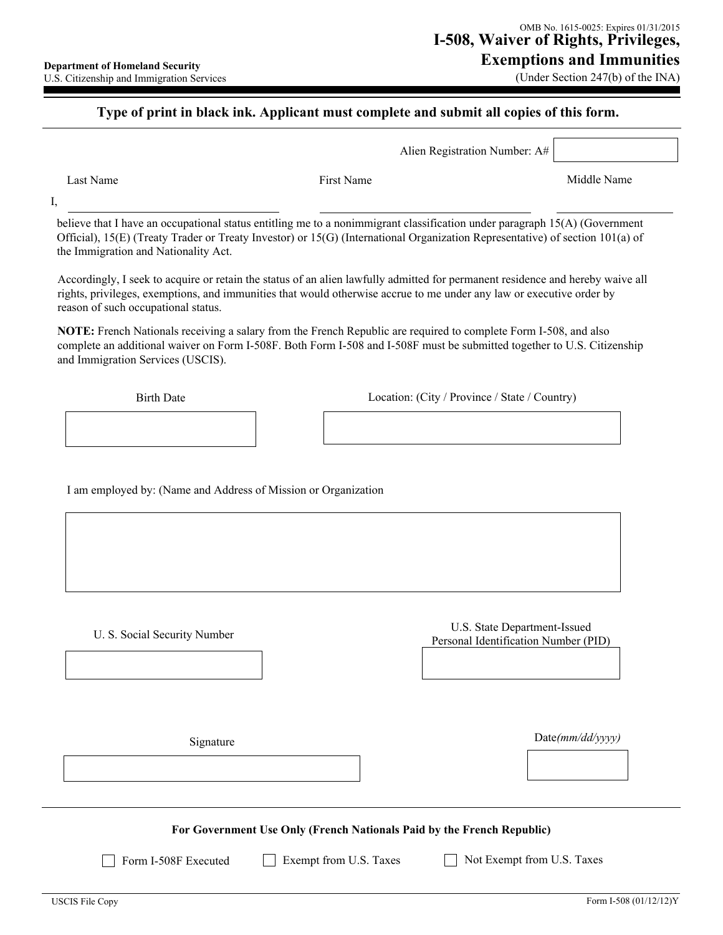(Under Section 247(b) of the INA)

# **Type of print in black ink. Applicant must complete and submit all copies of this form.**

Alien Registration Number: A#

Last Name Middle Name **First Name** First Name **Middle Name** Middle Name

I,

believe that I have an occupational status entitling me to a nonimmigrant classification under paragraph 15(A) (Government Official), 15(E) (Treaty Trader or Treaty Investor) or 15(G) (International Organization Representative) of section 101(a) of the Immigration and Nationality Act.

Accordingly, I seek to acquire or retain the status of an alien lawfully admitted for permanent residence and hereby waive all rights, privileges, exemptions, and immunities that would otherwise accrue to me under any law or executive order by reason of such occupational status.

**NOTE:** French Nationals receiving a salary from the French Republic are required to complete Form I-508, and also complete an additional waiver on Form I-508F. Both Form I-508 and I-508F must be submitted together to U.S. Citizenship and Immigration Services (USCIS).

Birth Date Location: (City / Province / State / Country)

I am employed by: (Name and Address of Mission or Organization

U. S. Social Security Number <br>
U.S. State Department-Issued<br>
Department-Issued<br>
Department-Issued<br>
Department-Issued<br>
Department-Issued Personal Identification Number (PID)

Signature Date( $mm/dd/yyyy$ )

**For Government Use Only (French Nationals Paid by the French Republic)**

Form I-508F Executed **Exempt from U.S. Taxes** Not Exempt from U.S. Taxes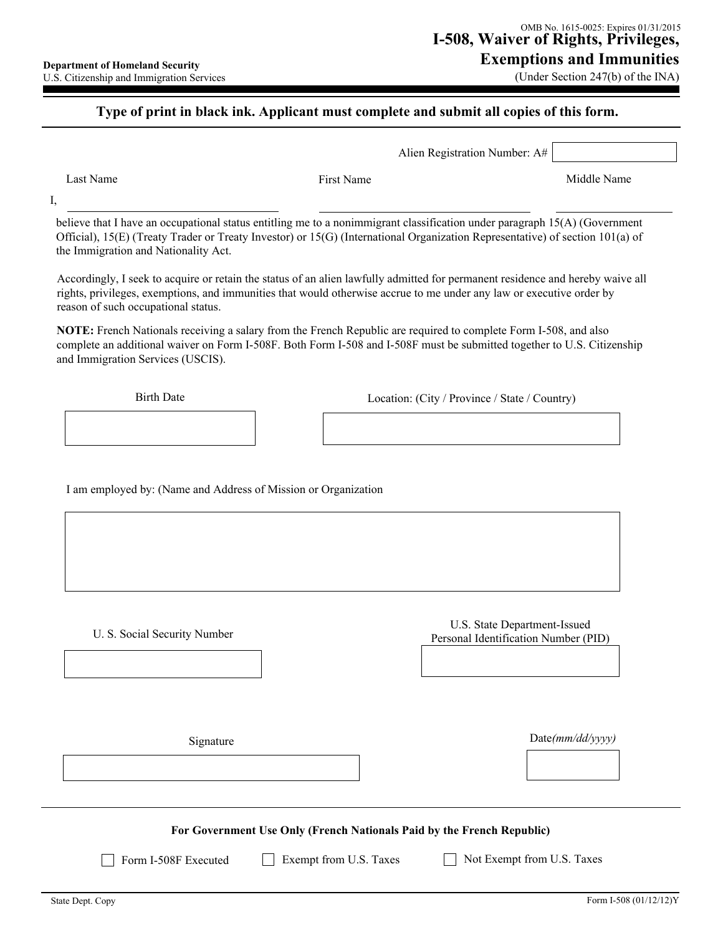## **Type of print in black ink. Applicant must complete and submit all copies of this form.**

| Alien Registration Number: $A#$ |
|---------------------------------|
|---------------------------------|

I,

Last Name Middle Name **First Name** First Name **Middle Name** Middle Name

believe that I have an occupational status entitling me to a nonimmigrant classification under paragraph 15(A) (Government Official), 15(E) (Treaty Trader or Treaty Investor) or 15(G) (International Organization Representative) of section 101(a) of the Immigration and Nationality Act.

Accordingly, I seek to acquire or retain the status of an alien lawfully admitted for permanent residence and hereby waive all rights, privileges, exemptions, and immunities that would otherwise accrue to me under any law or executive order by reason of such occupational status.

**NOTE:** French Nationals receiving a salary from the French Republic are required to complete Form I-508, and also complete an additional waiver on Form I-508F. Both Form I-508 and I-508F must be submitted together to U.S. Citizenship and Immigration Services (USCIS).

Birth Date Location: (City / Province / State / Country)

I am employed by: (Name and Address of Mission or Organization

U. S. Social Security Number<br>
U.S. Social Security Number<br>
Personal Identification Number (P Personal Identification Number (PID)

Signature Date( $mm/dd/yyyy$ )

**For Government Use Only (French Nationals Paid by the French Republic)**

Form I-508F Executed Exempt from U.S. Taxes Not Exempt from U.S. Taxes